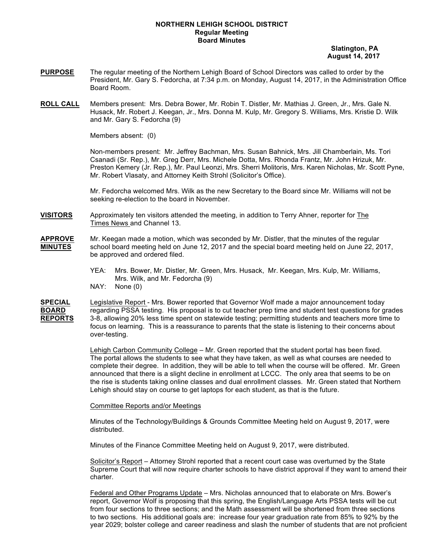## **NORTHERN LEHIGH SCHOOL DISTRICT Regular Meeting Board Minutes**

 **Slatington, PA August 14, 2017**

- **PURPOSE** The regular meeting of the Northern Lehigh Board of School Directors was called to order by the President, Mr. Gary S. Fedorcha, at 7:34 p.m. on Monday, August 14, 2017, in the Administration Office Board Room.
- **ROLL CALL** Members present: Mrs. Debra Bower, Mr. Robin T. Distler, Mr. Mathias J. Green, Jr., Mrs. Gale N. Husack, Mr. Robert J. Keegan, Jr., Mrs. Donna M. Kulp, Mr. Gregory S. Williams, Mrs. Kristie D. Wilk and Mr. Gary S. Fedorcha (9)

Members absent: (0)

Non-members present: Mr. Jeffrey Bachman, Mrs. Susan Bahnick, Mrs. Jill Chamberlain, Ms. Tori Csanadi (Sr. Rep.), Mr. Greg Derr, Mrs. Michele Dotta, Mrs. Rhonda Frantz, Mr. John Hrizuk, Mr. Preston Kemery (Jr. Rep.), Mr. Paul Leonzi, Mrs. Sherri Molitoris, Mrs. Karen Nicholas, Mr. Scott Pyne, Mr. Robert Vlasaty, and Attorney Keith Strohl (Solicitor's Office).

Mr. Fedorcha welcomed Mrs. Wilk as the new Secretary to the Board since Mr. Williams will not be seeking re-election to the board in November.

**VISITORS** Approximately ten visitors attended the meeting, in addition to Terry Ahner, reporter for The Times News and Channel 13.

- **APPROVE** Mr. Keegan made a motion, which was seconded by Mr. Distler, that the minutes of the regular **MINUTES** school board meeting held on June 12, 2017 and the special board meeting held on June 22, 2017, be approved and ordered filed.
	- YEA: Mrs. Bower, Mr. Distler, Mr. Green, Mrs. Husack, Mr. Keegan, Mrs. Kulp, Mr. Williams, Mrs. Wilk, and Mr. Fedorcha (9)
	- NAY: None (0)

**SPECIAL** Legislative Report - Mrs. Bower reported that Governor Wolf made a major announcement today **BOARD** regarding PSSA testing. His proposal is to cut teacher prep time and student test questions for grades **REPORTS** 3-8, allowing 20% less time spent on statewide testing; permitting students and teachers more time to focus on learning. This is a reassurance to parents that the state is listening to their concerns about over-testing.

> Lehigh Carbon Community College – Mr. Green reported that the student portal has been fixed. The portal allows the students to see what they have taken, as well as what courses are needed to complete their degree. In addition, they will be able to tell when the course will be offered. Mr. Green announced that there is a slight decline in enrollment at LCCC. The only area that seems to be on the rise is students taking online classes and dual enrollment classes. Mr. Green stated that Northern Lehigh should stay on course to get laptops for each student, as that is the future.

Committee Reports and/or Meetings

Minutes of the Technology/Buildings & Grounds Committee Meeting held on August 9, 2017, were distributed.

Minutes of the Finance Committee Meeting held on August 9, 2017, were distributed.

Solicitor's Report – Attorney Strohl reported that a recent court case was overturned by the State Supreme Court that will now require charter schools to have district approval if they want to amend their charter.

Federal and Other Programs Update – Mrs. Nicholas announced that to elaborate on Mrs. Bower's report, Governor Wolf is proposing that this spring, the English/Language Arts PSSA tests will be cut from four sections to three sections; and the Math assessment will be shortened from three sections to two sections. His additional goals are: increase four year graduation rate from 85% to 92% by the year 2029; bolster college and career readiness and slash the number of students that are not proficient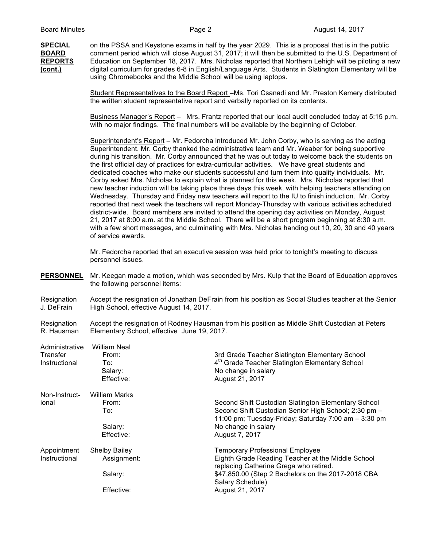**SPECIAL** on the PSSA and Keystone exams in half by the year 2029. This is a proposal that is in the public **BOARD** comment period which will close August 31, 2017; it will then be submitted to the U.S. Department of **REPORTS** Education on September 18, 2017. Mrs. Nicholas reported that Northern Lehigh will be piloting a new **(cont.)** digital curriculum for grades 6-8 in English/Language Arts. Students in Slatington Elementary will be using Chromebooks and the Middle School will be using laptops.

> Student Representatives to the Board Report –Ms. Tori Csanadi and Mr. Preston Kemery distributed the written student representative report and verbally reported on its contents.

> Business Manager's Report – Mrs. Frantz reported that our local audit concluded today at 5:15 p.m. with no major findings. The final numbers will be available by the beginning of October.

Superintendent's Report – Mr. Fedorcha introduced Mr. John Corby, who is serving as the acting Superintendent. Mr. Corby thanked the administrative team and Mr. Weaber for being supportive during his transition. Mr. Corby announced that he was out today to welcome back the students on the first official day of practices for extra-curricular activities. We have great students and dedicated coaches who make our students successful and turn them into quality individuals. Mr. Corby asked Mrs. Nicholas to explain what is planned for this week. Mrs. Nicholas reported that new teacher induction will be taking place three days this week, with helping teachers attending on Wednesday. Thursday and Friday new teachers will report to the IU to finish induction. Mr. Corby reported that next week the teachers will report Monday-Thursday with various activities scheduled district-wide. Board members are invited to attend the opening day activities on Monday, August 21, 2017 at 8:00 a.m. at the Middle School. There will be a short program beginning at 8:30 a.m. with a few short messages, and culminating with Mrs. Nicholas handing out 10, 20, 30 and 40 years of service awards.

Mr. Fedorcha reported that an executive session was held prior to tonight's meeting to discuss personnel issues.

- **PERSONNEL** Mr. Keegan made a motion, which was seconded by Mrs. Kulp that the Board of Education approves the following personnel items:
- Resignation Accept the resignation of Jonathan DeFrain from his position as Social Studies teacher at the Senior<br>J. DeFrain High School, effective August 14, 2017. High School, effective August 14, 2017.
- Resignation Accept the resignation of Rodney Hausman from his position as Middle Shift Custodian at Peters R. Hausman Elementary School, effective June 19, 2017.

| Administrative | William Neal         |                                                                                             |
|----------------|----------------------|---------------------------------------------------------------------------------------------|
| Transfer       | From:                | 3rd Grade Teacher Slatington Elementary School                                              |
| Instructional  | To:                  | 4 <sup>th</sup> Grade Teacher Slatington Elementary School                                  |
|                | Salary:              | No change in salary                                                                         |
|                | Effective:           | August 21, 2017                                                                             |
| Non-Instruct-  | <b>William Marks</b> |                                                                                             |
| ional          | From:                | Second Shift Custodian Slatington Elementary School                                         |
|                | To:                  | Second Shift Custodian Senior High School; 2:30 pm -                                        |
|                |                      | 11:00 pm; Tuesday-Friday; Saturday 7:00 am - 3:30 pm                                        |
|                | Salary:              | No change in salary                                                                         |
|                | Effective:           | August 7, 2017                                                                              |
| Appointment    | <b>Shelby Bailey</b> | <b>Temporary Professional Employee</b>                                                      |
| Instructional  | Assignment:          | Eighth Grade Reading Teacher at the Middle School<br>replacing Catherine Grega who retired. |
|                | Salary:              | \$47,850.00 (Step 2 Bachelors on the 2017-2018 CBA<br>Salary Schedule)                      |
|                | Effective:           | August 21, 2017                                                                             |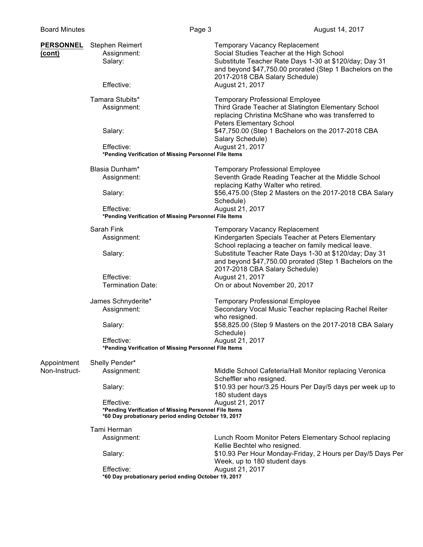| <b>PERSONNEL</b><br>(cont) | <b>Stephen Reimert</b><br>Assignment:<br>Salary:                                                                           | <b>Temporary Vacancy Replacement</b><br>Social Studies Teacher at the High School<br>Substitute Teacher Rate Days 1-30 at \$120/day; Day 31<br>and beyond \$47,750.00 prorated (Step 1 Bachelors on the<br>2017-2018 CBA Salary Schedule) |  |  |
|----------------------------|----------------------------------------------------------------------------------------------------------------------------|-------------------------------------------------------------------------------------------------------------------------------------------------------------------------------------------------------------------------------------------|--|--|
|                            | Effective:                                                                                                                 | August 21, 2017                                                                                                                                                                                                                           |  |  |
|                            | Tamara Stubits*<br>Assignment:                                                                                             | <b>Temporary Professional Employee</b><br>Third Grade Teacher at Slatington Elementary School<br>replacing Christina McShane who was transferred to<br>Peters Elementary School                                                           |  |  |
|                            | Salary:                                                                                                                    | \$47,750.00 (Step 1 Bachelors on the 2017-2018 CBA<br>Salary Schedule)                                                                                                                                                                    |  |  |
|                            | Effective:<br>*Pending Verification of Missing Personnel File Items                                                        | August 21, 2017                                                                                                                                                                                                                           |  |  |
|                            | Blasia Dunham*<br>Assignment:                                                                                              | <b>Temporary Professional Employee</b><br>Seventh Grade Reading Teacher at the Middle School                                                                                                                                              |  |  |
|                            | Salary:                                                                                                                    | replacing Kathy Walter who retired.<br>\$56,475.00 (Step 2 Masters on the 2017-2018 CBA Salary<br>Schedule)                                                                                                                               |  |  |
|                            | Effective:<br>*Pending Verification of Missing Personnel File Items                                                        | August 21, 2017                                                                                                                                                                                                                           |  |  |
|                            | Sarah Fink<br>Assignment:                                                                                                  | <b>Temporary Vacancy Replacement</b><br>Kindergarten Specials Teacher at Peters Elementary<br>School replacing a teacher on family medical leave.                                                                                         |  |  |
|                            | Salary:                                                                                                                    | Substitute Teacher Rate Days 1-30 at \$120/day; Day 31<br>and beyond \$47,750.00 prorated (Step 1 Bachelors on the<br>2017-2018 CBA Salary Schedule)                                                                                      |  |  |
|                            | Effective:<br><b>Termination Date:</b>                                                                                     | August 21, 2017<br>On or about November 20, 2017                                                                                                                                                                                          |  |  |
|                            | James Schnyderite*<br>Assignment:                                                                                          | <b>Temporary Professional Employee</b><br>Secondary Vocal Music Teacher replacing Rachel Reiter<br>who resigned.                                                                                                                          |  |  |
|                            | Salary:                                                                                                                    | \$58,825.00 (Step 9 Masters on the 2017-2018 CBA Salary<br>Schedule)                                                                                                                                                                      |  |  |
|                            | Effective:<br>*Pending Verification of Missing Personnel File Items                                                        | August 21, 2017                                                                                                                                                                                                                           |  |  |
| Appointment                | Shelly Pender*                                                                                                             |                                                                                                                                                                                                                                           |  |  |
| Non-Instruct-              | Assignment:                                                                                                                | Middle School Cafeteria/Hall Monitor replacing Veronica<br>Scheffler who resigned.                                                                                                                                                        |  |  |
|                            | Salary:                                                                                                                    | \$10.93 per hour/3.25 Hours Per Day/5 days per week up to<br>180 student days                                                                                                                                                             |  |  |
|                            | Effective:<br>*Pending Verification of Missing Personnel File Items<br>*60 Day probationary period ending October 19, 2017 | August 21, 2017                                                                                                                                                                                                                           |  |  |
|                            | Tami Herman                                                                                                                |                                                                                                                                                                                                                                           |  |  |
|                            | Assignment:                                                                                                                | Lunch Room Monitor Peters Elementary School replacing<br>Kellie Bechtel who resigned.                                                                                                                                                     |  |  |
|                            | Salary:                                                                                                                    | \$10.93 Per Hour Monday-Friday, 2 Hours per Day/5 Days Per<br>Week, up to 180 student days                                                                                                                                                |  |  |
|                            | Effective:<br>*60 Day probationary period ending October 19, 2017                                                          | August 21, 2017                                                                                                                                                                                                                           |  |  |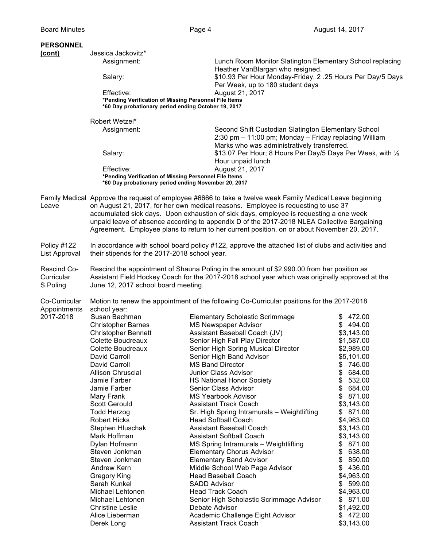## Board Minutes **Page 4 Page 4 Page 4 August 14, 2017 PERSONNEL (cont)** Jessica Jackovitz\* Assignment: Lunch Room Monitor Slatington Elementary School replacing Heather VanBlargan who resigned. Salary: **\$10.93 Per Hour Monday-Friday, 2 .25 Hours Per Day/5 Days** Per Week, up to 180 student days Effective: August 21, 2017 **\*Pending Verification of Missing Personnel File Items \*60 Day probationary period ending October 19, 2017** Robert Wetzel\* Assignment: Second Shift Custodian Slatington Elementary School School Second Shift Custodian Slatington Elementary School 2:30 pm – 11:00 pm; Monday – Friday replacing William Marks who was administratively transferred. Salary:  $$13.07$  Per Hour; 8 Hours Per Day/5 Days Per Week, with  $\frac{1}{2}$ Hour unpaid lunch Effective: August 21, 2017 **\*Pending Verification of Missing Personnel File Items \*60 Day probationary period ending November 20, 2017** Family Medical Approve the request of employee #6666 to take a twelve week Family Medical Leave beginning Leave on August 21, 2017, for her own medical reasons. Employee is requesting to use 37 accumulated sick days. Upon exhaustion of sick days, employee is requesting a one week unpaid leave of absence according to appendix D of the 2017-2018 NLEA Collective Bargaining Agreement. Employee plans to return to her current position, on or about November 20, 2017. Policy #122 In accordance with school board policy #122, approve the attached list of clubs and activities and List Approval their stipends for the 2017-2018 school year. Rescind Co- Rescind the appointment of Shauna Poling in the amount of \$2,990.00 from her position as Curricular Assistant Field Hockey Coach for the 2017-2018 school year which was originally approved at the S.Poling June 12, 2017 school board meeting. Co-Curricular Motion to renew the appointment of the following Co-Curricular positions for the 2017-2018 Appointments school year: 2017-2018 Susan Bachman Elementary Scholastic Scrimmage \$ 472.00 Christopher Barnes MS Newspaper Advisor  $$494.00$ Christopher Bennett Assistant Baseball Coach (JV) \$3,143.00 Colette Boudreaux Senior High Fall Play Director \$1,587.00 Colette Boudreaux Senior High Spring Musical Director \$2,989.00 David Carroll **Senior High Band Advisor** \$5,101.00 David Carroll MS Band Director \$ 746.00 Allison Chruscial **Allison Class Advisor 1998** Section Allison Chruscial **4** O Jamie Farber **HS National Honor Society** \$ 532.00 Jamie Farber Senior Class Advisor **Senior Class Advision** Senior Class Advisor Mary Frank MS Yearbook Advisor **\$ 871.00** MS Yearbook Advisor Scott Gerould **Assistant Track Coach** \$3,143.00 Todd Herzog **St. High Spring Intramurals – Weightlifting** \$ 871.00 Robert Hicks **Head Softball Coach** \$4,963.00 Stephen Hluschak **Assistant Baseball Coach** \$3,143.00 Mark Hoffman Assistant Softball Coach \$3,143.00 Dylan Hofmann **MS Spring Intramurals – Weightlifting** \$ 871.00 Steven Jonkman **Elementary Chorus Advisor** \$ 638.00 Steven Jonkman **Elementary Band Advisor** \$ 850.00

Andrew Kern **Middle School Web Page Advisor** \$ 436.00 Gregory King **Example 20** Head Baseball Coach **\$4,963.00** Sarah Kunkel SADD Advisor \$ 599.00 Michael Lehtonen Head Track Coach \$4,963.00 Michael Lehtonen Senior High Scholastic Scrimmage Advisor \$ 871.00 Christine Leslie Debate Advisor \$1,492.00 Alice Lieberman **Academic Challenge Eight Advisor** \$ 472.00 Derek Long **Assistant Track Coach** \$3,143.00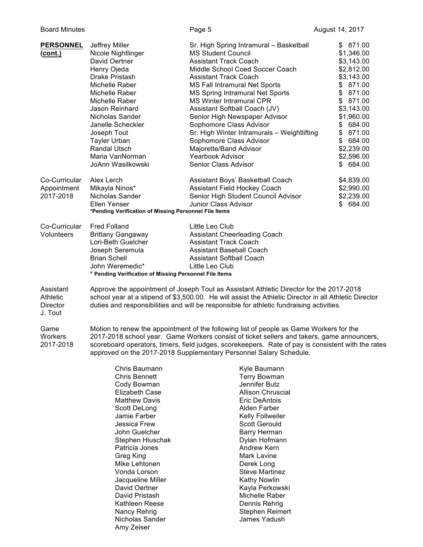| <b>Board Minutes</b>                                |                                                                                                                                                                                                                                                                                                                                                                   | Page 5                                                                                                                                                                                                                                                                                                                                                                                                                                                                                                                                           | August 14, 2017                                                                                                                                                                                              |  |
|-----------------------------------------------------|-------------------------------------------------------------------------------------------------------------------------------------------------------------------------------------------------------------------------------------------------------------------------------------------------------------------------------------------------------------------|--------------------------------------------------------------------------------------------------------------------------------------------------------------------------------------------------------------------------------------------------------------------------------------------------------------------------------------------------------------------------------------------------------------------------------------------------------------------------------------------------------------------------------------------------|--------------------------------------------------------------------------------------------------------------------------------------------------------------------------------------------------------------|--|
| <b>PERSONNEL</b><br>(cont.)                         | Jeffrey Miller<br>Nicole Nightlinger<br>David Oertner<br>Henry Ojeda<br>Drake Pristash<br>Michelle Raber<br>Michelle Raber<br>Michelle Raber<br>Jason Reinhard<br>Nicholas Sander<br>Janelle Scheckler<br>Joseph Tout<br><b>Tayler Urban</b><br><b>Randal Utsch</b><br>Maria VanNorman<br>JoAnn Wasilkowski                                                       | Sr. High Spring Intramural - Basketball<br><b>MS Student Council</b><br><b>Assistant Track Coach</b><br>Middle School Coed Soccer Coach<br><b>Assistant Track Coach</b><br><b>MS Fall Intramural Net Sports</b><br><b>MS Spring Intramural Net Sports</b><br><b>MS Winter Intramural CPR</b><br>Assistant Softball Coach (JV)<br>Senior High Newspaper Advisor<br>Sophomore Class Advisor<br>Sr. High Winter Intramurals - Weightlifting<br>Sophomore Class Advisor<br>Majorette/Band Advisor<br><b>Yearbook Advisor</b><br>Senior Class Advisor | \$871.00<br>\$1,346.00<br>\$3,143.00<br>\$2,812.00<br>\$3,143.00<br>\$871.00<br>\$871.00<br>\$871.00<br>\$3,143.00<br>\$1,960.00<br>\$684.00<br>\$871.00<br>\$684.00<br>\$2,239.00<br>\$2,596.00<br>\$684.00 |  |
| Co-Curricular<br>Appointment<br>2017-2018           | Alex Lerch<br>Mikayla Ninos*<br>Nicholas Sander<br>Ellen Yenser<br>*Pending Verification of Missing Personnel File Items                                                                                                                                                                                                                                          | Assistant Boys' Basketball Coach<br>Assistant Field Hockey Coach<br>Senior High Student Council Advisor<br>Junior Class Advisor                                                                                                                                                                                                                                                                                                                                                                                                                  | \$4,839.00<br>\$2,990.00<br>\$2,239.00<br>\$684.00                                                                                                                                                           |  |
| Co-Curricular<br>Volunteers                         | <b>Fred Folland</b><br><b>Brittany Gangaway</b><br>Lori-Beth Guelcher<br>Joseph Seremula<br><b>Brian Schell</b><br>John Weremedic*<br>* Pending Verification of Missing Personnel File Items                                                                                                                                                                      | Little Leo Club<br><b>Assistant Cheerleading Coach</b><br><b>Assistant Track Coach</b><br><b>Assistant Baseball Coach</b><br><b>Assistant Softball Coach</b><br>Little Leo Club                                                                                                                                                                                                                                                                                                                                                                  |                                                                                                                                                                                                              |  |
| Assistant<br>Athletic<br><b>Director</b><br>J. Tout | Approve the appointment of Joseph Tout as Assistant Athletic Director for the 2017-2018<br>school year at a stipend of \$3,500.00. He will assist the Athletic Director in all Athletic Director<br>duties and responsibilities and will be responsible for athletic fundraising activities.                                                                      |                                                                                                                                                                                                                                                                                                                                                                                                                                                                                                                                                  |                                                                                                                                                                                                              |  |
| Game<br>Workers<br>2017-2018                        | Motion to renew the appointment of the following list of people as Game Workers for the<br>2017-2018 school year. Game Workers consist of ticket sellers and takers, game announcers,<br>scoreboard operators, timers, field judges, scorekeepers. Rate of pay is consistent with the rates<br>approved on the 2017-2018 Supplementary Personnel Salary Schedule. |                                                                                                                                                                                                                                                                                                                                                                                                                                                                                                                                                  |                                                                                                                                                                                                              |  |
|                                                     | Chris Baumann<br><b>Chris Bennett</b><br>Cody Bowman<br><b>Elizabeth Case</b><br><b>Matthew Davis</b>                                                                                                                                                                                                                                                             | Kyle Baumann<br><b>Terry Bowman</b><br>Jennifer Butz<br><b>Allison Chruscial</b><br>Eric DeAntois                                                                                                                                                                                                                                                                                                                                                                                                                                                |                                                                                                                                                                                                              |  |

Scott DeLong Alden Farber Jamie Farber New York Helly Follweiler<br>Jessica Frew New York Scott Gerould

John Guelcher **Barry Herman**<br>
Stephen Hluschak **Barry Hermann** Stephen Hluschak Dylan Hofmar<br>
Patricia Jones Channel Andrew Kern

Greg King<br>
Mark Lavine<br>
Mike Lehtonen<br>
Mark Long

Vonda Lorson Steve Martinez Jacqueline Miller **Allecter Control** Kathy Nowlin<br>
David Oertner **Kayla Perkow** David Oertner **Kayla Perkowski**<br>
David Pristash **Muchelle Raber** 

Kathleen Reese Dennis Rehrig<br>
Nancy Rehrig Nancy Rehrig<br>
Stephen Reime

Patricia Jones

Mike Lehtonen

Nicholas Sander Amy Zeiser

Scott Gerould

Michelle Raber

Stephen Reimert<br>James Yadush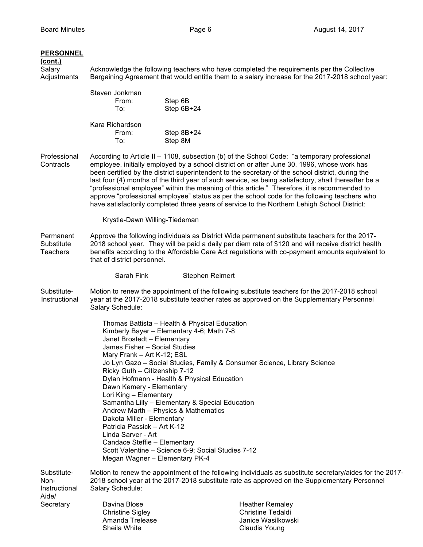| <b>PERSONNEL</b><br>(cont.)<br>Salary<br>Adjustments | Acknowledge the following teachers who have completed the requirements per the Collective<br>Bargaining Agreement that would entitle them to a salary increase for the 2017-2018 school year:                                                                                                                                                                                                                                                                                                                                                                                                                                                                                                            |                                                                                                                                                                                                                                                                                                                                                                                |                                                                                                                                                                                                                                                    |                                                                                                                                                                                                                                                                                                          |  |
|------------------------------------------------------|----------------------------------------------------------------------------------------------------------------------------------------------------------------------------------------------------------------------------------------------------------------------------------------------------------------------------------------------------------------------------------------------------------------------------------------------------------------------------------------------------------------------------------------------------------------------------------------------------------------------------------------------------------------------------------------------------------|--------------------------------------------------------------------------------------------------------------------------------------------------------------------------------------------------------------------------------------------------------------------------------------------------------------------------------------------------------------------------------|----------------------------------------------------------------------------------------------------------------------------------------------------------------------------------------------------------------------------------------------------|----------------------------------------------------------------------------------------------------------------------------------------------------------------------------------------------------------------------------------------------------------------------------------------------------------|--|
|                                                      | Steven Jonkman<br>From:<br>To:                                                                                                                                                                                                                                                                                                                                                                                                                                                                                                                                                                                                                                                                           | Step 6B                                                                                                                                                                                                                                                                                                                                                                        | Step 6B+24                                                                                                                                                                                                                                         |                                                                                                                                                                                                                                                                                                          |  |
|                                                      | Kara Richardson<br>From:<br>To:                                                                                                                                                                                                                                                                                                                                                                                                                                                                                                                                                                                                                                                                          | Step 8M                                                                                                                                                                                                                                                                                                                                                                        | Step 8B+24                                                                                                                                                                                                                                         |                                                                                                                                                                                                                                                                                                          |  |
| Professional<br>Contracts                            | According to Article II - 1108, subsection (b) of the School Code: "a temporary professional<br>employee, initially employed by a school district on or after June 30, 1996, whose work has<br>been certified by the district superintendent to the secretary of the school district, during the<br>last four (4) months of the third year of such service, as being satisfactory, shall thereafter be a<br>"professional employee" within the meaning of this article." Therefore, it is recommended to<br>approve "professional employee" status as per the school code for the following teachers who<br>have satisfactorily completed three years of service to the Northern Lehigh School District: |                                                                                                                                                                                                                                                                                                                                                                                |                                                                                                                                                                                                                                                    |                                                                                                                                                                                                                                                                                                          |  |
|                                                      |                                                                                                                                                                                                                                                                                                                                                                                                                                                                                                                                                                                                                                                                                                          | Krystle-Dawn Willing-Tiedeman                                                                                                                                                                                                                                                                                                                                                  |                                                                                                                                                                                                                                                    |                                                                                                                                                                                                                                                                                                          |  |
| Permanent<br>Substitute<br>Teachers                  |                                                                                                                                                                                                                                                                                                                                                                                                                                                                                                                                                                                                                                                                                                          | that of district personnel.                                                                                                                                                                                                                                                                                                                                                    |                                                                                                                                                                                                                                                    | Approve the following individuals as District Wide permanent substitute teachers for the 2017-<br>2018 school year. They will be paid a daily per diem rate of \$120 and will receive district health<br>benefits according to the Affordable Care Act regulations with co-payment amounts equivalent to |  |
|                                                      |                                                                                                                                                                                                                                                                                                                                                                                                                                                                                                                                                                                                                                                                                                          | Sarah Fink                                                                                                                                                                                                                                                                                                                                                                     | <b>Stephen Reimert</b>                                                                                                                                                                                                                             |                                                                                                                                                                                                                                                                                                          |  |
| Substitute-<br>Instructional                         | Salary Schedule:                                                                                                                                                                                                                                                                                                                                                                                                                                                                                                                                                                                                                                                                                         |                                                                                                                                                                                                                                                                                                                                                                                |                                                                                                                                                                                                                                                    | Motion to renew the appointment of the following substitute teachers for the 2017-2018 school<br>year at the 2017-2018 substitute teacher rates as approved on the Supplementary Personnel                                                                                                               |  |
|                                                      |                                                                                                                                                                                                                                                                                                                                                                                                                                                                                                                                                                                                                                                                                                          | Janet Brostedt - Elementary<br>James Fisher - Social Studies<br>Mary Frank – Art K-12; ESL<br>Ricky Guth - Citizenship 7-12<br>Dawn Kemery - Elementary<br>Lori King - Elementary<br>Andrew Marth - Physics & Mathematics<br>Dakota Miller - Elementary<br>Patricia Passick - Art K-12<br>Linda Sarver - Art<br>Candace Steffie - Elementary<br>Megan Wagner - Elementary PK-4 | Thomas Battista - Health & Physical Education<br>Kimberly Bayer - Elementary 4-6; Math 7-8<br>Dylan Hofmann - Health & Physical Education<br>Samantha Lilly - Elementary & Special Education<br>Scott Valentine - Science 6-9; Social Studies 7-12 | Jo Lyn Gazo - Social Studies, Family & Consumer Science, Library Science                                                                                                                                                                                                                                 |  |
| Substitute-<br>Non-<br>Instructional<br>Aide/        | Salary Schedule:                                                                                                                                                                                                                                                                                                                                                                                                                                                                                                                                                                                                                                                                                         |                                                                                                                                                                                                                                                                                                                                                                                |                                                                                                                                                                                                                                                    | Motion to renew the appointment of the following individuals as substitute secretary/aides for the 2017-<br>2018 school year at the 2017-2018 substitute rate as approved on the Supplementary Personnel                                                                                                 |  |
| Secretary                                            | Davina Blose<br><b>Christine Sigley</b><br>Sheila White                                                                                                                                                                                                                                                                                                                                                                                                                                                                                                                                                                                                                                                  | Amanda Trelease                                                                                                                                                                                                                                                                                                                                                                |                                                                                                                                                                                                                                                    | <b>Heather Remaley</b><br><b>Christine Tedaldi</b><br>Janice Wasilkowski<br>Claudia Young                                                                                                                                                                                                                |  |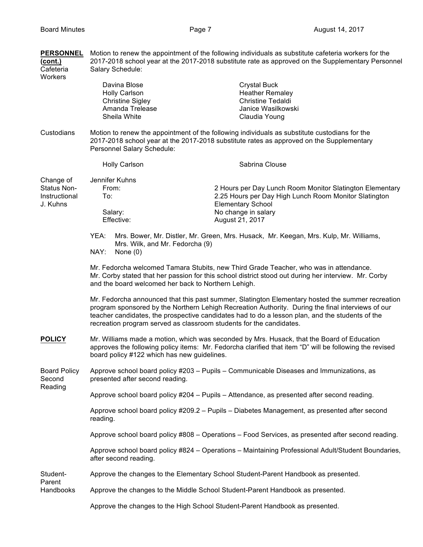| <b>PERSONNEL</b><br>(cont.)<br>Cafeteria<br>Workers   | Motion to renew the appointment of the following individuals as substitute cafeteria workers for the<br>2017-2018 school year at the 2017-2018 substitute rate as approved on the Supplementary Personnel<br>Salary Schedule:                                                                                                                                                   |                                                                                                    |                                                                                                                                                                                           |  |  |
|-------------------------------------------------------|---------------------------------------------------------------------------------------------------------------------------------------------------------------------------------------------------------------------------------------------------------------------------------------------------------------------------------------------------------------------------------|----------------------------------------------------------------------------------------------------|-------------------------------------------------------------------------------------------------------------------------------------------------------------------------------------------|--|--|
|                                                       |                                                                                                                                                                                                                                                                                                                                                                                 | Davina Blose<br><b>Holly Carlson</b><br><b>Christine Sigley</b><br>Amanda Trelease<br>Sheila White | <b>Crystal Buck</b><br><b>Heather Remaley</b><br>Christine Tedaldi<br>Janice Wasilkowski<br>Claudia Young                                                                                 |  |  |
| Custodians                                            | Personnel Salary Schedule:                                                                                                                                                                                                                                                                                                                                                      |                                                                                                    | Motion to renew the appointment of the following individuals as substitute custodians for the<br>2017-2018 school year at the 2017-2018 substitute rates as approved on the Supplementary |  |  |
|                                                       |                                                                                                                                                                                                                                                                                                                                                                                 | <b>Holly Carlson</b>                                                                               | Sabrina Clouse                                                                                                                                                                            |  |  |
| Change of<br>Status Non-<br>Instructional<br>J. Kuhns | Jennifer Kuhns<br>From:<br>To:<br>Salary:<br>Effective:                                                                                                                                                                                                                                                                                                                         |                                                                                                    | 2 Hours per Day Lunch Room Monitor Slatington Elementary<br>2.25 Hours per Day High Lunch Room Monitor Slatington<br><b>Elementary School</b><br>No change in salary<br>August 21, 2017   |  |  |
|                                                       | YEA:<br>Mrs. Bower, Mr. Distler, Mr. Green, Mrs. Husack, Mr. Keegan, Mrs. Kulp, Mr. Williams,<br>Mrs. Wilk, and Mr. Fedorcha (9)<br>NAY:<br>None $(0)$                                                                                                                                                                                                                          |                                                                                                    |                                                                                                                                                                                           |  |  |
|                                                       | Mr. Fedorcha welcomed Tamara Stubits, new Third Grade Teacher, who was in attendance.<br>Mr. Corby stated that her passion for this school district stood out during her interview. Mr. Corby<br>and the board welcomed her back to Northern Lehigh.                                                                                                                            |                                                                                                    |                                                                                                                                                                                           |  |  |
|                                                       | Mr. Fedorcha announced that this past summer, Slatington Elementary hosted the summer recreation<br>program sponsored by the Northern Lehigh Recreation Authority. During the final interviews of our<br>teacher candidates, the prospective candidates had to do a lesson plan, and the students of the<br>recreation program served as classroom students for the candidates. |                                                                                                    |                                                                                                                                                                                           |  |  |
| <b>POLICY</b>                                         | Mr. Williams made a motion, which was seconded by Mrs. Husack, that the Board of Education<br>approves the following policy items: Mr. Fedorcha clarified that item "D" will be following the revised<br>board policy #122 which has new guidelines.                                                                                                                            |                                                                                                    |                                                                                                                                                                                           |  |  |
| <b>Board Policy</b><br>Second<br>Reading              | Approve school board policy #203 - Pupils - Communicable Diseases and Immunizations, as<br>presented after second reading.                                                                                                                                                                                                                                                      |                                                                                                    |                                                                                                                                                                                           |  |  |
|                                                       | Approve school board policy #204 - Pupils - Attendance, as presented after second reading.                                                                                                                                                                                                                                                                                      |                                                                                                    |                                                                                                                                                                                           |  |  |
|                                                       | Approve school board policy #209.2 - Pupils - Diabetes Management, as presented after second<br>reading.                                                                                                                                                                                                                                                                        |                                                                                                    |                                                                                                                                                                                           |  |  |
|                                                       | Approve school board policy #808 - Operations - Food Services, as presented after second reading.                                                                                                                                                                                                                                                                               |                                                                                                    |                                                                                                                                                                                           |  |  |
|                                                       | Approve school board policy #824 - Operations - Maintaining Professional Adult/Student Boundaries,<br>after second reading.                                                                                                                                                                                                                                                     |                                                                                                    |                                                                                                                                                                                           |  |  |
| Student-<br>Parent                                    | Approve the changes to the Elementary School Student-Parent Handbook as presented.                                                                                                                                                                                                                                                                                              |                                                                                                    |                                                                                                                                                                                           |  |  |
| Handbooks                                             | Approve the changes to the Middle School Student-Parent Handbook as presented.                                                                                                                                                                                                                                                                                                  |                                                                                                    |                                                                                                                                                                                           |  |  |
|                                                       | Approve the changes to the High School Student-Parent Handbook as presented.                                                                                                                                                                                                                                                                                                    |                                                                                                    |                                                                                                                                                                                           |  |  |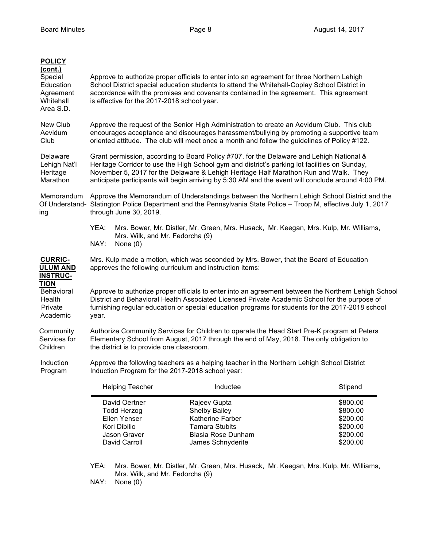|                                                                                         | David Oertner<br><b>Todd Herzog</b><br>Ellen Yenser<br>Kori Dibilio<br>Jason Graver                                                                                                                                                                                                                                                                                                     | Rajeev Gupta<br><b>Shelby Bailey</b><br>Katherine Farber<br><b>Tamara Stubits</b><br><b>Blasia Rose Dunham</b> | \$800.00<br>\$800.00<br>\$200.00<br>\$200.00<br>\$200.00 |  |
|-----------------------------------------------------------------------------------------|-----------------------------------------------------------------------------------------------------------------------------------------------------------------------------------------------------------------------------------------------------------------------------------------------------------------------------------------------------------------------------------------|----------------------------------------------------------------------------------------------------------------|----------------------------------------------------------|--|
|                                                                                         | <b>Helping Teacher</b>                                                                                                                                                                                                                                                                                                                                                                  | Inductee                                                                                                       | Stipend                                                  |  |
| Induction<br>Program                                                                    | Approve the following teachers as a helping teacher in the Northern Lehigh School District<br>Induction Program for the 2017-2018 school year:                                                                                                                                                                                                                                          |                                                                                                                |                                                          |  |
| Community<br>Services for<br>Children                                                   | Authorize Community Services for Children to operate the Head Start Pre-K program at Peters<br>Elementary School from August, 2017 through the end of May, 2018. The only obligation to<br>the district is to provide one classroom.                                                                                                                                                    |                                                                                                                |                                                          |  |
| <b>TION</b><br><b>Behavioral</b><br>Health<br>Private<br>Academic                       | Approve to authorize proper officials to enter into an agreement between the Northern Lehigh School<br>District and Behavioral Health Associated Licensed Private Academic School for the purpose of<br>furnishing regular education or special education programs for students for the 2017-2018 school<br>year.                                                                       |                                                                                                                |                                                          |  |
| <b>CURRIC-</b><br><b>ULUM AND</b><br><b>INSTRUC-</b>                                    | Mrs. Kulp made a motion, which was seconded by Mrs. Bower, that the Board of Education<br>approves the following curriculum and instruction items:                                                                                                                                                                                                                                      |                                                                                                                |                                                          |  |
|                                                                                         | YEA:<br>Mrs. Wilk, and Mr. Fedorcha (9)<br>NAY:<br>None $(0)$                                                                                                                                                                                                                                                                                                                           | Mrs. Bower, Mr. Distler, Mr. Green, Mrs. Husack, Mr. Keegan, Mrs. Kulp, Mr. Williams,                          |                                                          |  |
| Memorandum<br>ing                                                                       | Approve the Memorandum of Understandings between the Northern Lehigh School District and the<br>Of Understand- Slatington Police Department and the Pennsylvania State Police - Troop M, effective July 1, 2017<br>through June 30, 2019.                                                                                                                                               |                                                                                                                |                                                          |  |
| Delaware<br>Lehigh Nat'l<br>Heritage<br>Marathon                                        | Grant permission, according to Board Policy #707, for the Delaware and Lehigh National &<br>Heritage Corridor to use the High School gym and district's parking lot facilities on Sunday,<br>November 5, 2017 for the Delaware & Lehigh Heritage Half Marathon Run and Walk. They<br>anticipate participants will begin arriving by 5:30 AM and the event will conclude around 4:00 PM. |                                                                                                                |                                                          |  |
| New Club<br>Aevidum<br>Club                                                             | Approve the request of the Senior High Administration to create an Aevidum Club. This club<br>encourages acceptance and discourages harassment/bullying by promoting a supportive team<br>oriented attitude. The club will meet once a month and follow the guidelines of Policy #122.                                                                                                  |                                                                                                                |                                                          |  |
| <b>POLICY</b><br>(cont.)<br>Special<br>Education<br>Agreement<br>Whitehall<br>Area S.D. | Approve to authorize proper officials to enter into an agreement for three Northern Lehigh<br>School District special education students to attend the Whitehall-Coplay School District in<br>accordance with the promises and covenants contained in the agreement. This agreement<br>is effective for the 2017-2018 school year.                                                      |                                                                                                                |                                                          |  |

YEA: Mrs. Bower, Mr. Distler, Mr. Green, Mrs. Husack, Mr. Keegan, Mrs. Kulp, Mr. Williams, Mrs. Wilk, and Mr. Fedorcha (9)

David Carroll James Schnyderite \$200.00

NAY: None (0)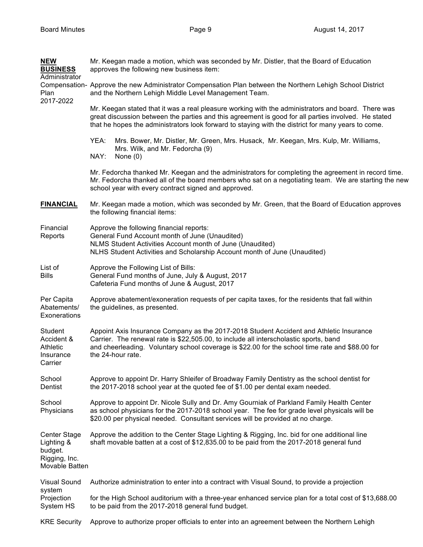| <b>NEW</b><br><b>BUSINESS</b>                                                   | Mr. Keegan made a motion, which was seconded by Mr. Distler, that the Board of Education<br>approves the following new business item:                                                                                                                                                                           |  |  |  |  |
|---------------------------------------------------------------------------------|-----------------------------------------------------------------------------------------------------------------------------------------------------------------------------------------------------------------------------------------------------------------------------------------------------------------|--|--|--|--|
| Administrator<br>Plan<br>2017-2022                                              | Compensation-Approve the new Administrator Compensation Plan between the Northern Lehigh School District<br>and the Northern Lehigh Middle Level Management Team.                                                                                                                                               |  |  |  |  |
|                                                                                 | Mr. Keegan stated that it was a real pleasure working with the administrators and board. There was<br>great discussion between the parties and this agreement is good for all parties involved. He stated<br>that he hopes the administrators look forward to staying with the district for many years to come. |  |  |  |  |
|                                                                                 | YEA:<br>Mrs. Bower, Mr. Distler, Mr. Green, Mrs. Husack, Mr. Keegan, Mrs. Kulp, Mr. Williams,<br>Mrs. Wilk, and Mr. Fedorcha (9)<br>NAY:<br>None $(0)$                                                                                                                                                          |  |  |  |  |
|                                                                                 | Mr. Fedorcha thanked Mr. Keegan and the administrators for completing the agreement in record time.<br>Mr. Fedorcha thanked all of the board members who sat on a negotiating team. We are starting the new<br>school year with every contract signed and approved.                                             |  |  |  |  |
| <b>FINANCIAL</b>                                                                | Mr. Keegan made a motion, which was seconded by Mr. Green, that the Board of Education approves<br>the following financial items:                                                                                                                                                                               |  |  |  |  |
| Financial<br>Reports                                                            | Approve the following financial reports:<br>General Fund Account month of June (Unaudited)<br>NLMS Student Activities Account month of June (Unaudited)<br>NLHS Student Activities and Scholarship Account month of June (Unaudited)                                                                            |  |  |  |  |
| List of<br><b>Bills</b>                                                         | Approve the Following List of Bills:<br>General Fund months of June, July & August, 2017<br>Cafeteria Fund months of June & August, 2017                                                                                                                                                                        |  |  |  |  |
| Per Capita<br>Abatements/<br>Exonerations                                       | Approve abatement/exoneration requests of per capita taxes, for the residents that fall within<br>the guidelines, as presented.                                                                                                                                                                                 |  |  |  |  |
| Student<br>Accident &<br>Athletic<br>Insurance<br>Carrier                       | Appoint Axis Insurance Company as the 2017-2018 Student Accident and Athletic Insurance<br>Carrier. The renewal rate is \$22,505.00, to include all interscholastic sports, band<br>and cheerleading. Voluntary school coverage is \$22.00 for the school time rate and \$88.00 for<br>the 24-hour rate.        |  |  |  |  |
| School<br>Dentist                                                               | Approve to appoint Dr. Harry Shleifer of Broadway Family Dentistry as the school dentist for<br>the 2017-2018 school year at the quoted fee of \$1.00 per dental exam needed.                                                                                                                                   |  |  |  |  |
| School<br>Physicians                                                            | Approve to appoint Dr. Nicole Sully and Dr. Amy Gourniak of Parkland Family Health Center<br>as school physicians for the 2017-2018 school year. The fee for grade level physicals will be<br>\$20.00 per physical needed. Consultant services will be provided at no charge.                                   |  |  |  |  |
| <b>Center Stage</b><br>Lighting &<br>budget.<br>Rigging, Inc.<br>Movable Batten | Approve the addition to the Center Stage Lighting & Rigging, Inc. bid for one additional line<br>shaft movable batten at a cost of \$12,835.00 to be paid from the 2017-2018 general fund                                                                                                                       |  |  |  |  |
| <b>Visual Sound</b>                                                             | Authorize administration to enter into a contract with Visual Sound, to provide a projection                                                                                                                                                                                                                    |  |  |  |  |
| system<br>Projection<br>System HS                                               | for the High School auditorium with a three-year enhanced service plan for a total cost of \$13,688.00<br>to be paid from the 2017-2018 general fund budget.                                                                                                                                                    |  |  |  |  |
| <b>KRE Security</b>                                                             | Approve to authorize proper officials to enter into an agreement between the Northern Lehigh                                                                                                                                                                                                                    |  |  |  |  |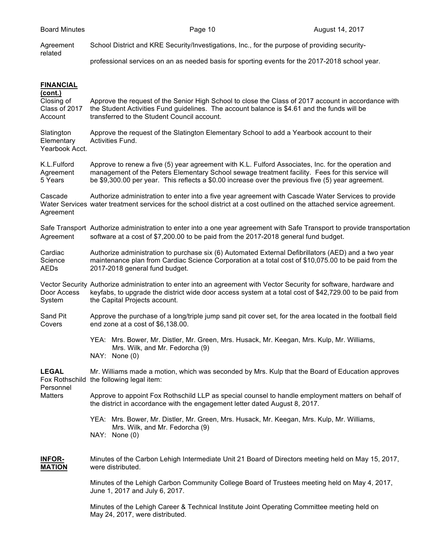Agreement School District and KRE Security/Investigations, Inc., for the purpose of providing securityrelated professional services on an as needed basis for sporting events for the 2017-2018 school year.

## **FINANCIAL**

## **(cont.)** Closing of Approve the request of the Senior High School to close the Class of 2017 account in accordance with Class of 2017 the Student Activities Fund guidelines. The account balance is \$4.61 and the funds will be Account transferred to the Student Council account. Slatington Approve the request of the Slatington Elementary School to add a Yearbook account to their Elementary Activities Fund. Yearbook Acct. K.L.Fulford Approve to renew a five (5) year agreement with K.L. Fulford Associates, Inc. for the operation and Agreement management of the Peters Elementary School sewage treatment facility. Fees for this service will 5 Years be \$9,300.00 per year. This reflects a \$0.00 increase over the previous five (5) year agreement. Cascade Authorize administration to enter into a five year agreement with Cascade Water Services to provide Water Services water treatment services for the school district at a cost outlined on the attached service agreement. Agreement Safe Transport Authorize administration to enter into a one year agreement with Safe Transport to provide transportation Agreement software at a cost of \$7,200.00 to be paid from the 2017-2018 general fund budget. Cardiac **Authorize administration to purchase six (6)** Automated External Defibrillators (AED) and a two year Science maintenance plan from Cardiac Science Corporation at a total cost of \$10,075.00 to be paid from the AEDs 2017-2018 general fund budget. Vector Security Authorize administration to enter into an agreement with Vector Security for software, hardware and Door Access keyfabs, to upgrade the district wide door access system at a total cost of \$42,729.00 to be paid from System the Capital Projects account. Sand Pit Approve the purchase of a long/triple jump sand pit cover set, for the area located in the football field Covers end zone at a cost of \$6,138.00. YEA: Mrs. Bower, Mr. Distler, Mr. Green, Mrs. Husack, Mr. Keegan, Mrs. Kulp, Mr. Williams, Mrs. Wilk, and Mr. Fedorcha (9) NAY: None (0) **LEGAL** Mr. Williams made a motion, which was seconded by Mrs. Kulp that the Board of Education approves Fox Rothschild the following legal item: Personnel Matters Approve to appoint Fox Rothschild LLP as special counsel to handle employment matters on behalf of the district in accordance with the engagement letter dated August 8, 2017. YEA: Mrs. Bower, Mr. Distler, Mr. Green, Mrs. Husack, Mr. Keegan, Mrs. Kulp, Mr. Williams, Mrs. Wilk, and Mr. Fedorcha (9) NAY: None (0) **INFOR-** Minutes of the Carbon Lehigh Intermediate Unit 21 Board of Directors meeting held on May 15, 2017, **MATION** were distributed.

Minutes of the Lehigh Carbon Community College Board of Trustees meeting held on May 4, 2017, June 1, 2017 and July 6, 2017.

Minutes of the Lehigh Career & Technical Institute Joint Operating Committee meeting held on May 24, 2017, were distributed.